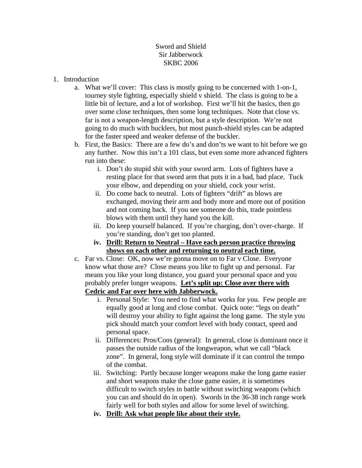## Sword and Shield Sir Jabberwock SKBC 2006

## 1. Introduction

- a. What we'll cover: This class is mostly going to be concerned with 1-on-1, tourney style fighting, especially shield v shield. The class is going to be a little bit of lecture, and a lot of workshop. First we'll hit the basics, then go over some close techniques, then some long techniques. Note that close vs. far is not a weapon-length description, but a style description. We're not going to do much with bucklers, but most punch-shield styles can be adapted for the faster speed and weaker defense of the buckler.
- b. First, the Basics: There are a few do's and don'ts we want to hit before we go any further. Now this isn't a 101 class, but even some more advanced fighters run into these:
	- i. Don't do stupid shit with your sword arm. Lots of fighters have a resting place for that sword arm that puts it in a bad, bad place. Tuck your elbow, and depending on your shield, cock your wrist.
	- ii. Do come back to neutral. Lots of fighters "drift" as blows are exchanged, moving their arm and body more and more out of position and not coming back. If you see someone do this, trade pointless blows with them until they hand you the kill.
	- iii. Do keep yourself balanced. If you're charging, don't over-charge. If you're standing, don't get too planted.
	- **iv. Drill: Return to Neutral Have each person practice throwing shows on each other and returning to neutral each time.**
- c. Far vs. Close: OK, now we're gonna move on to Far v Close. Everyone know what those are? Close means you like to fight up and personal. Far means you like your long distance, you guard your personal space and you probably prefer longer weapons. **Let's split up: Close over there with Cedric and Far over here with Jabberwock.**
	- i. Personal Style: You need to find what works for you. Few people are equally good at long and close combat. Quick note: "legs on death" will destroy your ability to fight against the long game. The style you pick should match your comfort level with body contact, speed and personal space.
	- ii. Differences: Pros/Cons (general): In general, close is dominant once it passes the outside radius of the longweapon, what we call "black zone". In general, long style will dominate if it can control the tempo of the combat.
	- iii. Switching: Partly because longer weapons make the long game easier and short weapons make the close game easier, it is sometimes difficult to switch styles in battle without switching weapons (which you can and should do in open). Swords in the 36-38 inch range work fairly well for both styles and allow for some level of switching.
	- **iv. Drill: Ask what people like about their style.**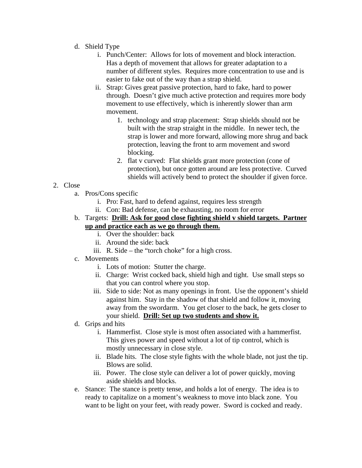- d. Shield Type
	- i. Punch/Center: Allows for lots of movement and block interaction. Has a depth of movement that allows for greater adaptation to a number of different styles. Requires more concentration to use and is easier to fake out of the way than a strap shield.
	- ii. Strap: Gives great passive protection, hard to fake, hard to power through. Doesn't give much active protection and requires more body movement to use effectively, which is inherently slower than arm movement.
		- 1. technology and strap placement: Strap shields should not be built with the strap straight in the middle. In newer tech, the strap is lower and more forward, allowing more shrug and back protection, leaving the front to arm movement and sword blocking.
		- 2. flat v curved: Flat shields grant more protection (cone of protection), but once gotten around are less protective. Curved shields will actively bend to protect the shoulder if given force.

## 2. Close

- a. Pros/Cons specific
	- i. Pro: Fast, hard to defend against, requires less strength
	- ii. Con: Bad defense, can be exhausting, no room for error
- b. Targets: **Drill: Ask for good close fighting shield v shield targets. Partner up and practice each as we go through them.**
	- i. Over the shoulder: back
	- ii. Around the side: back
	- iii. R. Side the "torch choke" for a high cross.
- c. Movements
	- i. Lots of motion: Stutter the charge.
	- ii. Charge: Wrist cocked back, shield high and tight. Use small steps so that you can control where you stop.
	- iii. Side to side: Not as many openings in front. Use the opponent's shield against him. Stay in the shadow of that shield and follow it, moving away from the swordarm. You get closer to the back, he gets closer to your shield. **Drill: Set up two students and show it.**
- d. Grips and hits
	- i. Hammerfist. Close style is most often associated with a hammerfist. This gives power and speed without a lot of tip control, which is mostly unnecessary in close style.
	- ii. Blade hits. The close style fights with the whole blade, not just the tip. Blows are solid.
	- iii. Power. The close style can deliver a lot of power quickly, moving aside shields and blocks.
- e. Stance: The stance is pretty tense, and holds a lot of energy. The idea is to ready to capitalize on a moment's weakness to move into black zone. You want to be light on your feet, with ready power. Sword is cocked and ready.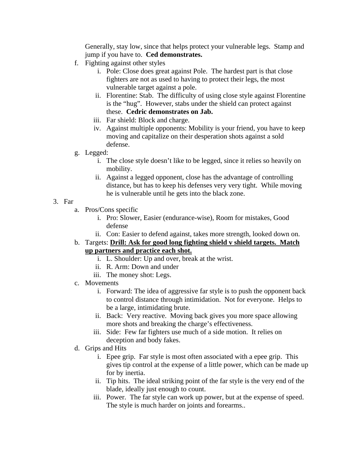Generally, stay low, since that helps protect your vulnerable legs. Stamp and jump if you have to. **Ced demonstrates.**

- f. Fighting against other styles
	- i. Pole: Close does great against Pole. The hardest part is that close fighters are not as used to having to protect their legs, the most vulnerable target against a pole.
	- ii. Florentine: Stab. The difficulty of using close style against Florentine is the "hug". However, stabs under the shield can protect against these. **Cedric demonstrates on Jab.**
	- iii. Far shield: Block and charge.
	- iv. Against multiple opponents: Mobility is your friend, you have to keep moving and capitalize on their desperation shots against a sold defense.
- g. Legged:
	- i. The close style doesn't like to be legged, since it relies so heavily on mobility.
	- ii. Against a legged opponent, close has the advantage of controlling distance, but has to keep his defenses very very tight. While moving he is vulnerable until he gets into the black zone.
- 3. Far
	- a. Pros/Cons specific
		- i. Pro: Slower, Easier (endurance-wise), Room for mistakes, Good defense
		- ii. Con: Easier to defend against, takes more strength, looked down on.
	- b. Targets: **Drill: Ask for good long fighting shield v shield targets. Match up partners and practice each shot.**
		- i. L. Shoulder: Up and over, break at the wrist.
		- ii. R. Arm: Down and under
		- iii. The money shot: Legs.
	- c. Movements
		- i. Forward: The idea of aggressive far style is to push the opponent back to control distance through intimidation. Not for everyone. Helps to be a large, intimidating brute.
		- ii. Back: Very reactive. Moving back gives you more space allowing more shots and breaking the charge's effectiveness.
		- iii. Side: Few far fighters use much of a side motion. It relies on deception and body fakes.
	- d. Grips and Hits
		- i. Epee grip. Far style is most often associated with a epee grip. This gives tip control at the expense of a little power, which can be made up for by inertia.
		- ii. Tip hits. The ideal striking point of the far style is the very end of the blade, ideally just enough to count.
		- iii. Power. The far style can work up power, but at the expense of speed. The style is much harder on joints and forearms..